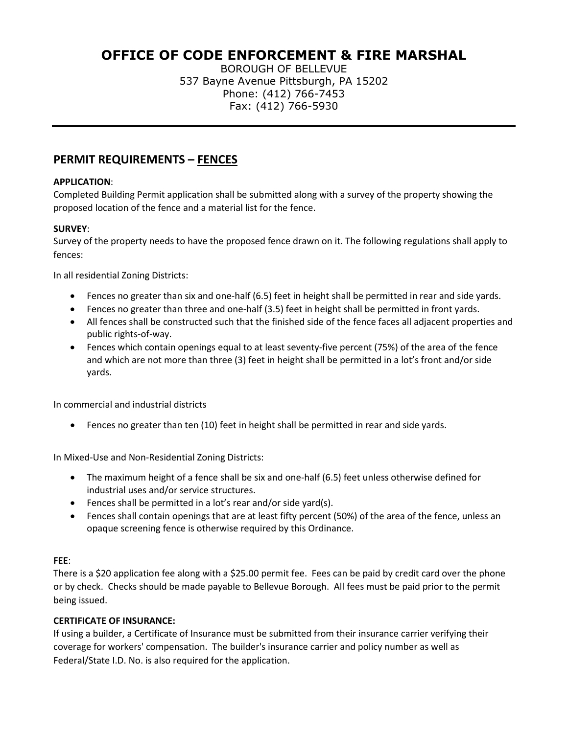# **OFFICE OF CODE ENFORCEMENT & FIRE MARSHAL**

BOROUGH OF BELLEVUE 537 Bayne Avenue Pittsburgh, PA 15202 Phone: (412) 766-7453 Fax: (412) 766-5930

## **PERMIT REQUIREMENTS – FENCES**

### **APPLICATION**:

Completed Building Permit application shall be submitted along with a survey of the property showing the proposed location of the fence and a material list for the fence.

### **SURVEY**:

Survey of the property needs to have the proposed fence drawn on it. The following regulations shall apply to fences:

In all residential Zoning Districts:

- Fences no greater than six and one-half (6.5) feet in height shall be permitted in rear and side yards.
- Fences no greater than three and one-half (3.5) feet in height shall be permitted in front yards.
- All fences shall be constructed such that the finished side of the fence faces all adjacent properties and public rights-of-way.
- Fences which contain openings equal to at least seventy-five percent (75%) of the area of the fence and which are not more than three (3) feet in height shall be permitted in a lot's front and/or side yards.

In commercial and industrial districts

• Fences no greater than ten (10) feet in height shall be permitted in rear and side yards.

In Mixed-Use and Non-Residential Zoning Districts:

- The maximum height of a fence shall be six and one-half (6.5) feet unless otherwise defined for industrial uses and/or service structures.
- Fences shall be permitted in a lot's rear and/or side yard(s).
- Fences shall contain openings that are at least fifty percent (50%) of the area of the fence, unless an opaque screening fence is otherwise required by this Ordinance.

#### **FEE**:

There is a \$20 application fee along with a \$25.00 permit fee. Fees can be paid by credit card over the phone or by check. Checks should be made payable to Bellevue Borough. All fees must be paid prior to the permit being issued.

### **CERTIFICATE OF INSURANCE:**

If using a builder, a Certificate of Insurance must be submitted from their insurance carrier verifying their coverage for workers' compensation. The builder's insurance carrier and policy number as well as Federal/State I.D. No. is also required for the application.